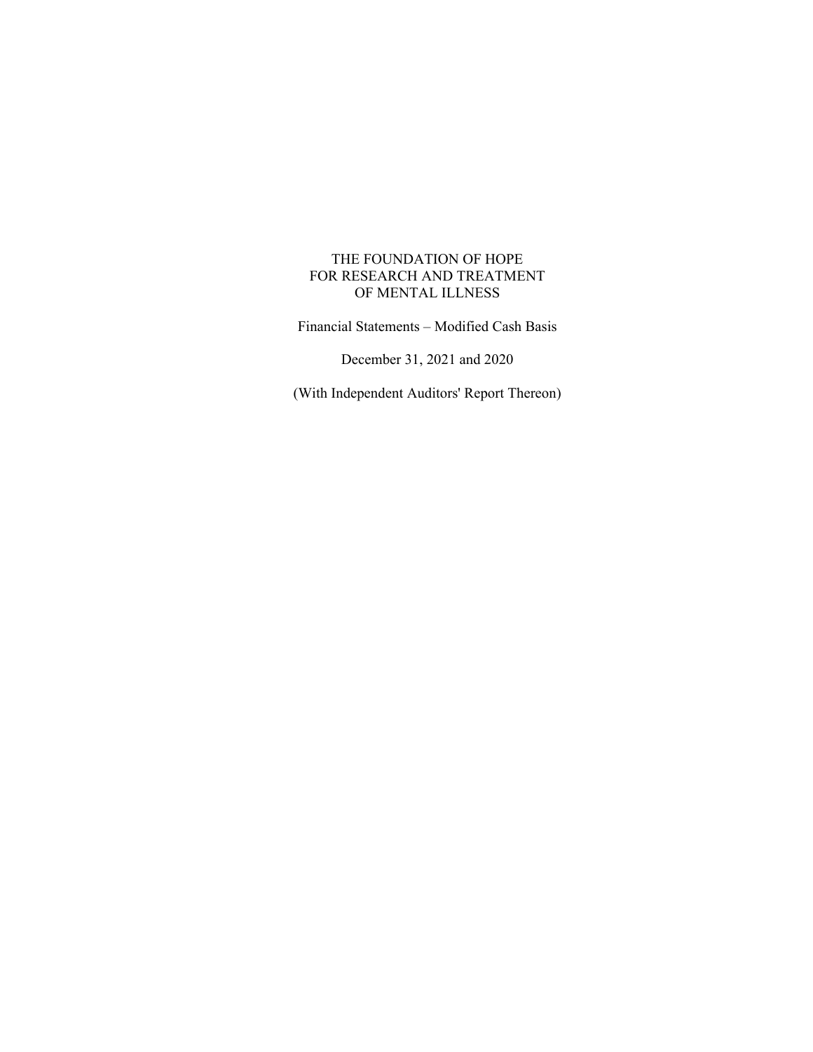Financial Statements – Modified Cash Basis

December 31, 2021 and 2020

(With Independent Auditors' Report Thereon)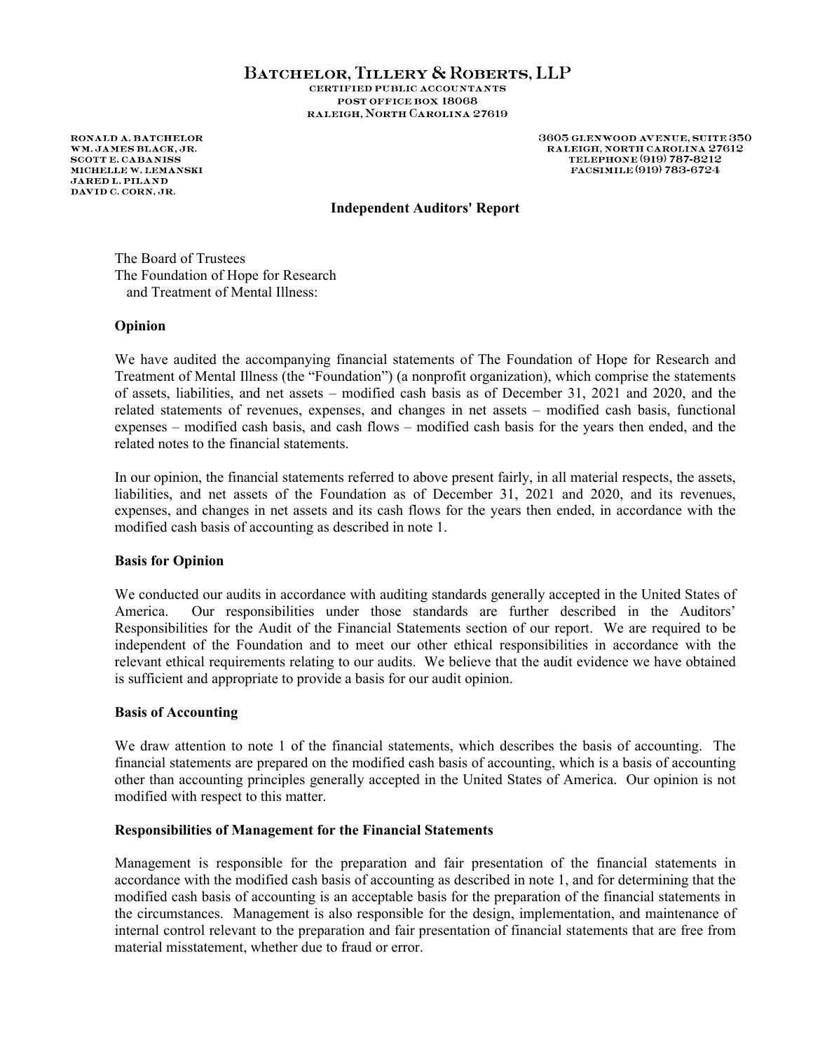#### BATCHELOR, TILLERY & ROBERTS, LLP **CERTIFIED PUBLIC ACCOUNTANTS** POST OFFICE BOX 18068 RALEIGH, NORTH CAROLINA 27619

**RONALD A. BATCHELOR** WM.JAMES BLACK.JR. **SCOTT E. CABANISS** MICHELLE W. LEMANSKI **JARED L. PILAND** DAVID C. CORN, JR.

3605 GLENWOOD AVENUE, SUITE 350 RALEIGH, NORTH CAROLINA 27612 TELEPHONE (919) 787-8212 FACSIMILE (919) 783-6724

## **Independent Auditors' Report**

The Board of Trustees The Foundation of Hope for Research and Treatment of Mental Illness:

#### **Opinion**

We have audited the accompanying financial statements of The Foundation of Hope for Research and Treatment of Mental Illness (the "Foundation") (a nonprofit organization), which comprise the statements of assets, liabilities, and net assets – modified cash basis as of December 31, 2021 and 2020, and the related statements of revenues, expenses, and changes in net assets – modified cash basis, functional expenses – modified cash basis, and cash flows – modified cash basis for the years then ended, and the related notes to the financial statements.

In our opinion, the financial statements referred to above present fairly, in all material respects, the assets, liabilities, and net assets of the Foundation as of December 31, 2021 and 2020, and its revenues, expenses, and changes in net assets and its cash flows for the years then ended, in accordance with the modified cash basis of accounting as described in note 1.

#### **Basis for Opinion**

We conducted our audits in accordance with auditing standards generally accepted in the United States of America. Our responsibilities under those standards are further described in the Auditors' Responsibilities for the Audit of the Financial Statements section of our report. We are required to be independent of the Foundation and to meet our other ethical responsibilities in accordance with the relevant ethical requirements relating to our audits. We believe that the audit evidence we have obtained is sufficient and appropriate to provide a basis for our audit opinion.

#### **Basis of Accounting**

We draw attention to note 1 of the financial statements, which describes the basis of accounting. The financial statements are prepared on the modified cash basis of accounting, which is a basis of accounting other than accounting principles generally accepted in the United States of America. Our opinion is not modified with respect to this matter.

#### **Responsibilities of Management for the Financial Statements**

Management is responsible for the preparation and fair presentation of the financial statements in accordance with the modified cash basis of accounting as described in note 1, and for determining that the modified cash basis of accounting is an acceptable basis for the preparation of the financial statements in the circumstances. Management is also responsible for the design, implementation, and maintenance of internal control relevant to the preparation and fair presentation of financial statements that are free from material misstatement, whether due to fraud or error.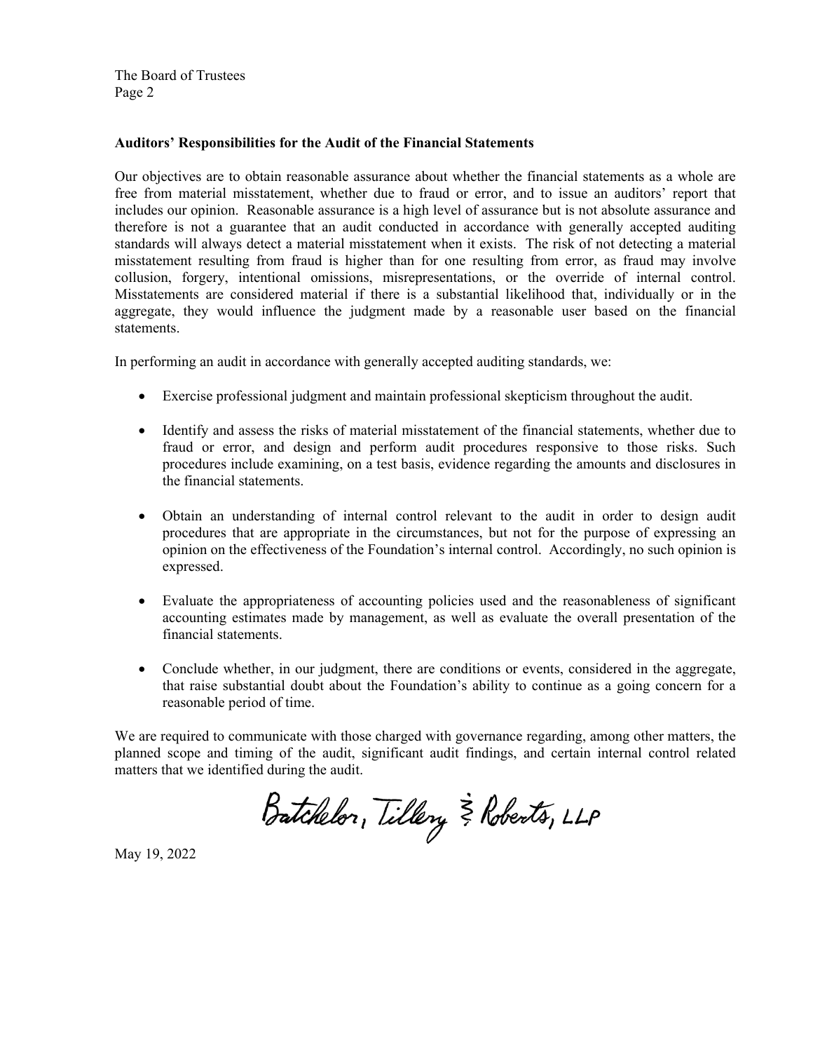The Board of Trustees Page 2

## **Auditors' Responsibilities for the Audit of the Financial Statements**

Our objectives are to obtain reasonable assurance about whether the financial statements as a whole are free from material misstatement, whether due to fraud or error, and to issue an auditors' report that includes our opinion. Reasonable assurance is a high level of assurance but is not absolute assurance and therefore is not a guarantee that an audit conducted in accordance with generally accepted auditing standards will always detect a material misstatement when it exists. The risk of not detecting a material misstatement resulting from fraud is higher than for one resulting from error, as fraud may involve collusion, forgery, intentional omissions, misrepresentations, or the override of internal control. Misstatements are considered material if there is a substantial likelihood that, individually or in the aggregate, they would influence the judgment made by a reasonable user based on the financial statements.

In performing an audit in accordance with generally accepted auditing standards, we:

- Exercise professional judgment and maintain professional skepticism throughout the audit.
- Identify and assess the risks of material misstatement of the financial statements, whether due to fraud or error, and design and perform audit procedures responsive to those risks. Such procedures include examining, on a test basis, evidence regarding the amounts and disclosures in the financial statements.
- Obtain an understanding of internal control relevant to the audit in order to design audit procedures that are appropriate in the circumstances, but not for the purpose of expressing an opinion on the effectiveness of the Foundation's internal control. Accordingly, no such opinion is expressed.
- Evaluate the appropriateness of accounting policies used and the reasonableness of significant accounting estimates made by management, as well as evaluate the overall presentation of the financial statements.
- Conclude whether, in our judgment, there are conditions or events, considered in the aggregate, that raise substantial doubt about the Foundation's ability to continue as a going concern for a reasonable period of time.

We are required to communicate with those charged with governance regarding, among other matters, the planned scope and timing of the audit, significant audit findings, and certain internal control related matters that we identified during the audit.

Batchelor, Tillery & Roberts, LLP

May 19, 2022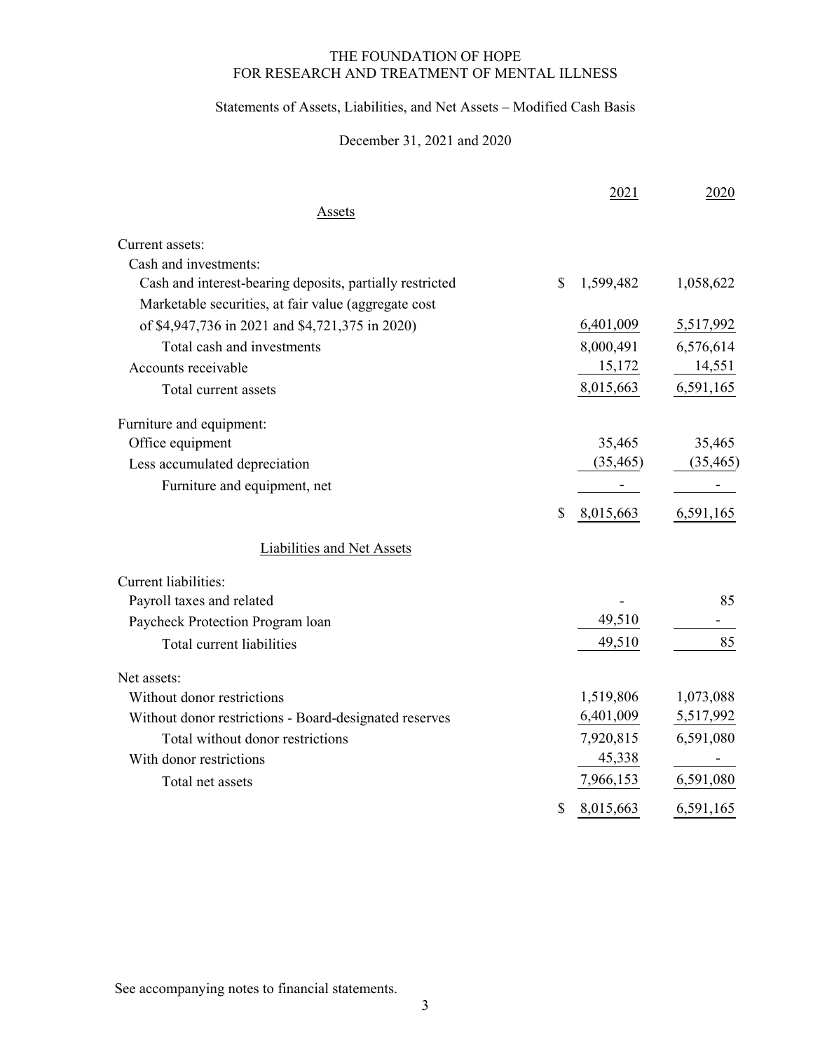# Statements of Assets, Liabilities, and Net Assets – Modified Cash Basis

# December 31, 2021 and 2020

|                                                          | 2021            | 2020      |
|----------------------------------------------------------|-----------------|-----------|
| Assets                                                   |                 |           |
| Current assets:                                          |                 |           |
| Cash and investments:                                    |                 |           |
| Cash and interest-bearing deposits, partially restricted | \$<br>1,599,482 | 1,058,622 |
| Marketable securities, at fair value (aggregate cost     |                 |           |
| of \$4,947,736 in 2021 and \$4,721,375 in 2020)          | 6,401,009       | 5,517,992 |
| Total cash and investments                               | 8,000,491       | 6,576,614 |
| Accounts receivable                                      | 15,172          | 14,551    |
| Total current assets                                     | 8,015,663       | 6,591,165 |
| Furniture and equipment:                                 |                 |           |
| Office equipment                                         | 35,465          | 35,465    |
| Less accumulated depreciation                            | (35, 465)       | (35, 465) |
| Furniture and equipment, net                             |                 |           |
|                                                          | \$<br>8,015,663 | 6,591,165 |
| <b>Liabilities and Net Assets</b>                        |                 |           |
| Current liabilities:                                     |                 |           |
| Payroll taxes and related                                |                 | 85        |
| Paycheck Protection Program loan                         | 49,510          |           |
| Total current liabilities                                | 49,510          | 85        |
| Net assets:                                              |                 |           |
| Without donor restrictions                               | 1,519,806       | 1,073,088 |
| Without donor restrictions - Board-designated reserves   | 6,401,009       | 5,517,992 |
| Total without donor restrictions                         | 7,920,815       | 6,591,080 |
| With donor restrictions                                  | 45,338          |           |
| Total net assets                                         | 7,966,153       | 6,591,080 |
|                                                          | \$<br>8,015,663 | 6,591,165 |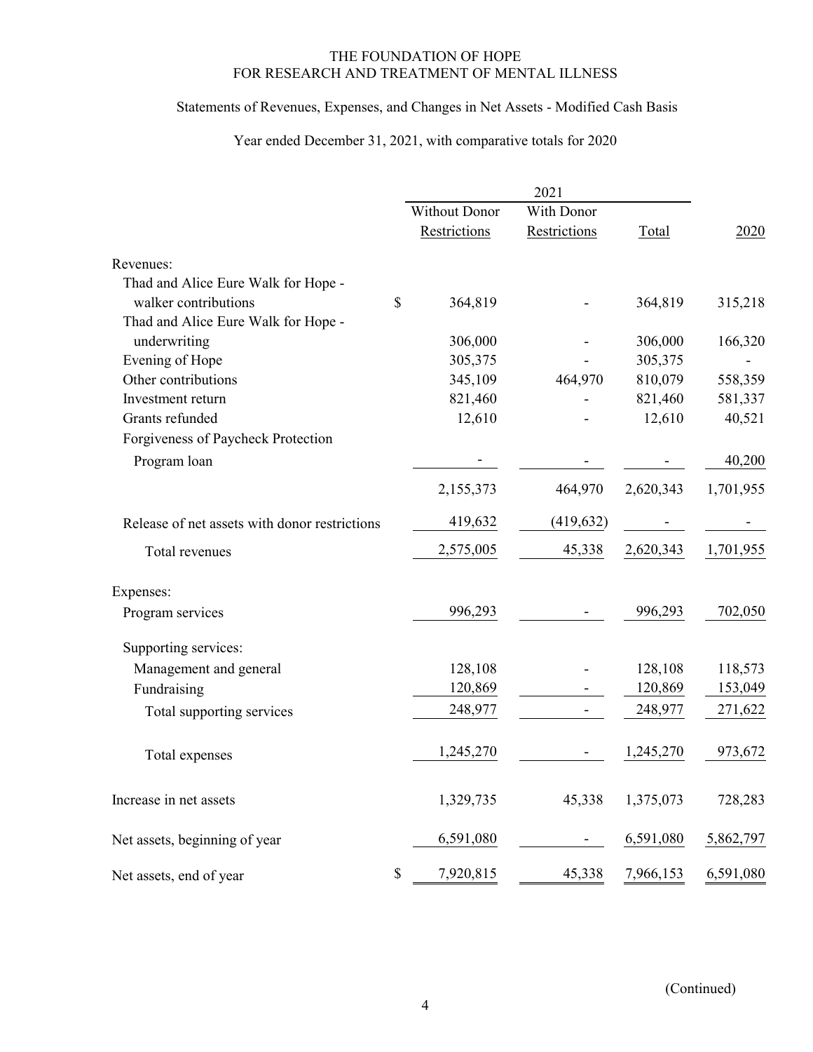# Statements of Revenues, Expenses, and Changes in Net Assets - Modified Cash Basis

# Year ended December 31, 2021, with comparative totals for 2020

|                                               |    | Without Donor | With Donor   |           |           |
|-----------------------------------------------|----|---------------|--------------|-----------|-----------|
|                                               |    | Restrictions  | Restrictions | Total     | 2020      |
| Revenues:                                     |    |               |              |           |           |
| Thad and Alice Eure Walk for Hope -           |    |               |              |           |           |
| walker contributions                          | \$ | 364,819       |              | 364,819   | 315,218   |
| Thad and Alice Eure Walk for Hope -           |    |               |              |           |           |
| underwriting                                  |    | 306,000       |              | 306,000   | 166,320   |
| Evening of Hope                               |    | 305,375       |              | 305,375   |           |
| Other contributions                           |    | 345,109       | 464,970      | 810,079   | 558,359   |
| Investment return                             |    | 821,460       |              | 821,460   | 581,337   |
| Grants refunded                               |    | 12,610        |              | 12,610    | 40,521    |
| Forgiveness of Paycheck Protection            |    |               |              |           |           |
| Program loan                                  |    |               |              |           | 40,200    |
|                                               |    | 2,155,373     | 464,970      | 2,620,343 | 1,701,955 |
| Release of net assets with donor restrictions |    | 419,632       | (419, 632)   |           |           |
| Total revenues                                |    | 2,575,005     | 45,338       | 2,620,343 | 1,701,955 |
| Expenses:                                     |    |               |              |           |           |
| Program services                              |    | 996,293       |              | 996,293   | 702,050   |
| Supporting services:                          |    |               |              |           |           |
| Management and general                        |    | 128,108       |              | 128,108   | 118,573   |
| Fundraising                                   |    | 120,869       |              | 120,869   | 153,049   |
| Total supporting services                     |    | 248,977       |              | 248,977   | 271,622   |
| Total expenses                                |    | 1,245,270     |              | 1,245,270 | 973,672   |
| Increase in net assets                        |    | 1,329,735     | 45,338       | 1,375,073 | 728,283   |
| Net assets, beginning of year                 |    | 6,591,080     |              | 6,591,080 | 5,862,797 |
| Net assets, end of year                       | \$ | 7,920,815     | 45,338       | 7,966,153 | 6,591,080 |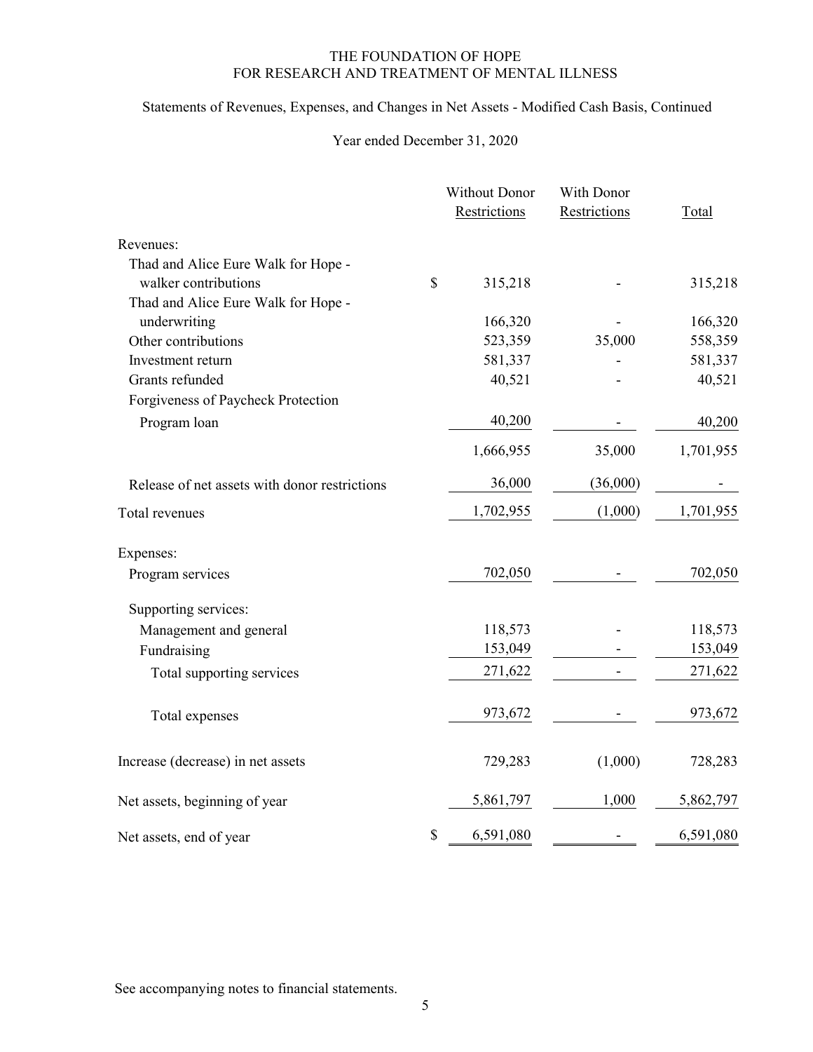# Statements of Revenues, Expenses, and Changes in Net Assets - Modified Cash Basis, Continued

# Year ended December 31, 2020

|                                               | <b>Without Donor</b> | With Donor   |           |  |
|-----------------------------------------------|----------------------|--------------|-----------|--|
|                                               | Restrictions         | Restrictions | Total     |  |
| Revenues:                                     |                      |              |           |  |
| Thad and Alice Eure Walk for Hope -           |                      |              |           |  |
| walker contributions                          | \$<br>315,218        |              | 315,218   |  |
| Thad and Alice Eure Walk for Hope -           |                      |              |           |  |
| underwriting                                  | 166,320              |              | 166,320   |  |
| Other contributions                           | 523,359              | 35,000       | 558,359   |  |
| Investment return                             | 581,337              |              | 581,337   |  |
| Grants refunded                               | 40,521               |              | 40,521    |  |
| Forgiveness of Paycheck Protection            |                      |              |           |  |
| Program loan                                  | 40,200               |              | 40,200    |  |
|                                               | 1,666,955            | 35,000       | 1,701,955 |  |
| Release of net assets with donor restrictions | 36,000               | (36,000)     |           |  |
| Total revenues                                | 1,702,955            | (1,000)      | 1,701,955 |  |
| Expenses:                                     |                      |              |           |  |
| Program services                              | 702,050              |              | 702,050   |  |
| Supporting services:                          |                      |              |           |  |
| Management and general                        | 118,573              |              | 118,573   |  |
| Fundraising                                   | 153,049              |              | 153,049   |  |
| Total supporting services                     | 271,622              |              | 271,622   |  |
| Total expenses                                | 973,672              |              | 973,672   |  |
| Increase (decrease) in net assets             | 729,283              | (1,000)      | 728,283   |  |
| Net assets, beginning of year                 | 5,861,797            | 1,000        | 5,862,797 |  |
| Net assets, end of year                       | \$<br>6,591,080      |              | 6,591,080 |  |
|                                               |                      |              |           |  |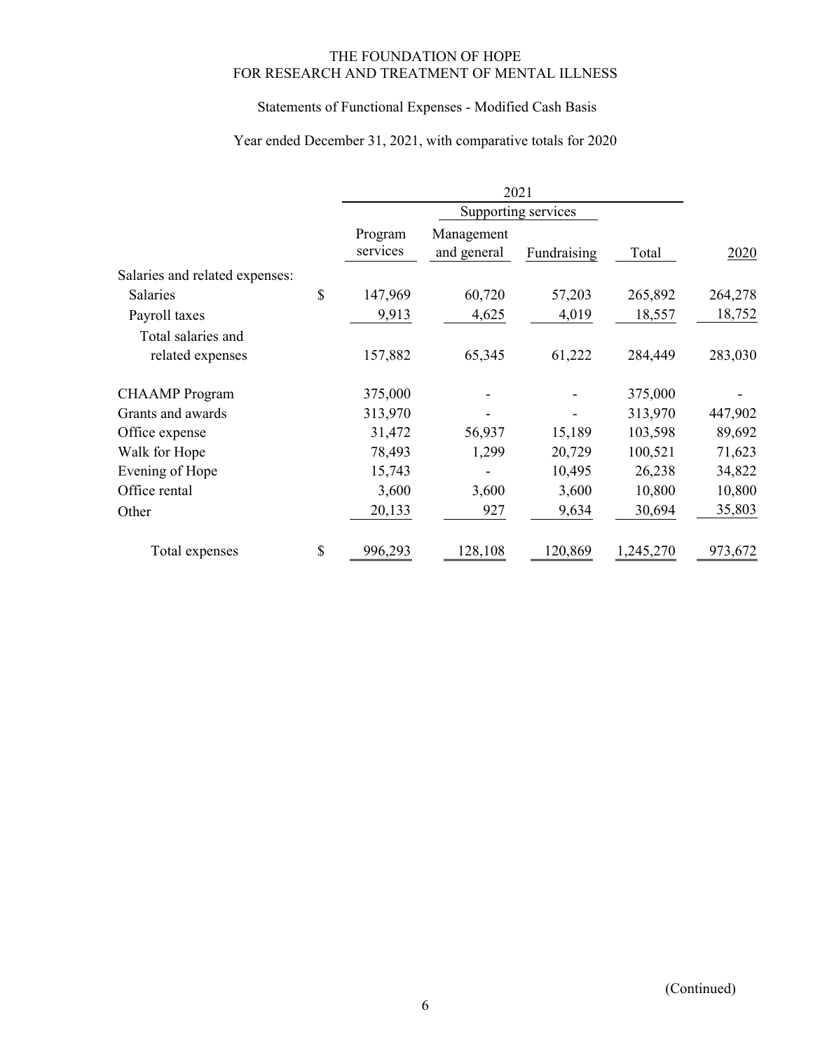# Statements of Functional Expenses - Modified Cash Basis

# Year ended December 31, 2021, with comparative totals for 2020

|                                | Program<br>services | Management<br>and general | Fundraising | Total     | 2020    |
|--------------------------------|---------------------|---------------------------|-------------|-----------|---------|
| Salaries and related expenses: |                     |                           |             |           |         |
| Salaries                       | \$<br>147,969       | 60,720                    | 57,203      | 265,892   | 264,278 |
| Payroll taxes                  | 9,913               | 4,625                     | 4,019       | 18,557    | 18,752  |
| Total salaries and             |                     |                           |             |           |         |
| related expenses               | 157,882             | 65,345                    | 61,222      | 284,449   | 283,030 |
| <b>CHAAMP</b> Program          | 375,000             |                           |             | 375,000   |         |
| Grants and awards              | 313,970             |                           |             | 313,970   | 447,902 |
| Office expense                 | 31,472              | 56,937                    | 15,189      | 103,598   | 89,692  |
| Walk for Hope                  | 78,493              | 1,299                     | 20,729      | 100,521   | 71,623  |
| Evening of Hope                | 15,743              |                           | 10,495      | 26,238    | 34,822  |
| Office rental                  | 3,600               | 3,600                     | 3,600       | 10,800    | 10,800  |
| Other                          | 20,133              | 927                       | 9,634       | 30,694    | 35,803  |
| Total expenses                 | \$<br>996,293       | 128,108                   | 120,869     | 1,245,270 | 973,672 |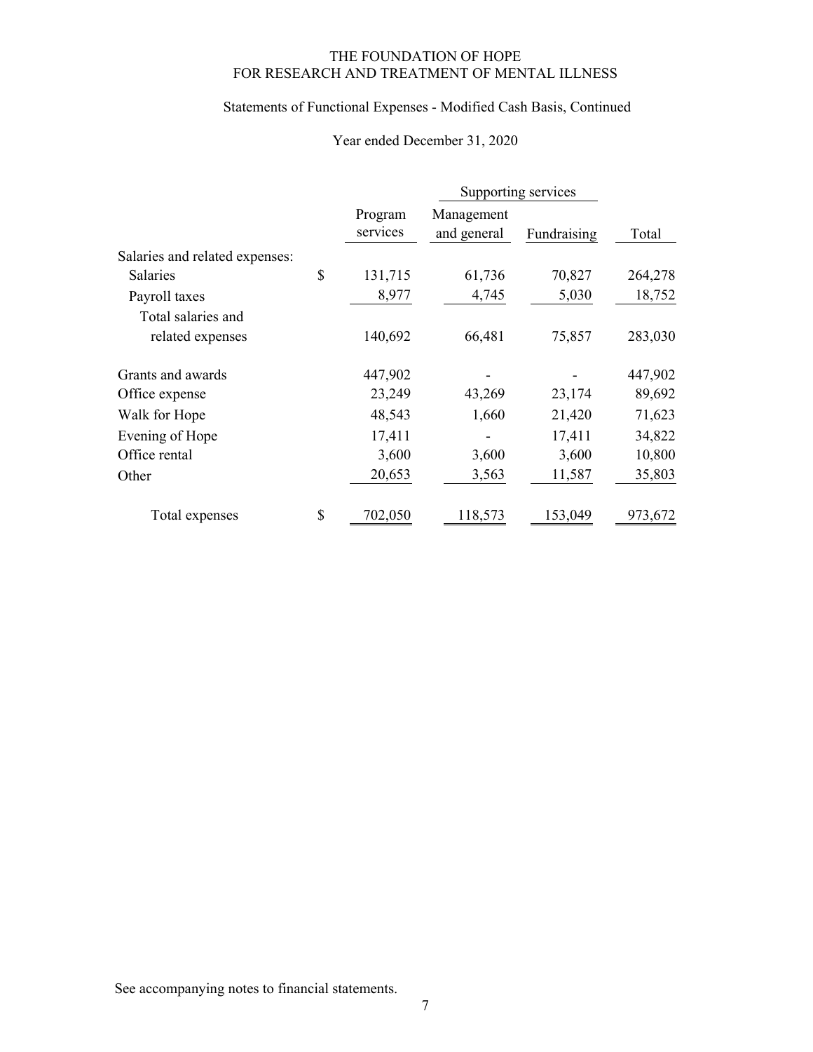# Statements of Functional Expenses - Modified Cash Basis, Continued

# Year ended December 31, 2020

|                                |                     | Supporting services       |             |         |
|--------------------------------|---------------------|---------------------------|-------------|---------|
|                                | Program<br>services | Management<br>and general | Fundraising | Total   |
| Salaries and related expenses: |                     |                           |             |         |
| <b>Salaries</b>                | \$<br>131,715       | 61,736                    | 70,827      | 264,278 |
| Payroll taxes                  | 8,977               | 4,745                     | 5,030       | 18,752  |
| Total salaries and             |                     |                           |             |         |
| related expenses               | 140,692             | 66,481                    | 75,857      | 283,030 |
| Grants and awards              | 447,902             |                           |             | 447,902 |
| Office expense                 | 23,249              | 43,269                    | 23,174      | 89,692  |
| Walk for Hope                  | 48,543              | 1,660                     | 21,420      | 71,623  |
| Evening of Hope                | 17,411              |                           | 17,411      | 34,822  |
| Office rental                  | 3,600               | 3,600                     | 3,600       | 10,800  |
| Other                          | 20,653              | 3,563                     | 11,587      | 35,803  |
| Total expenses                 | \$<br>702,050       | 118,573                   | 153,049     | 973,672 |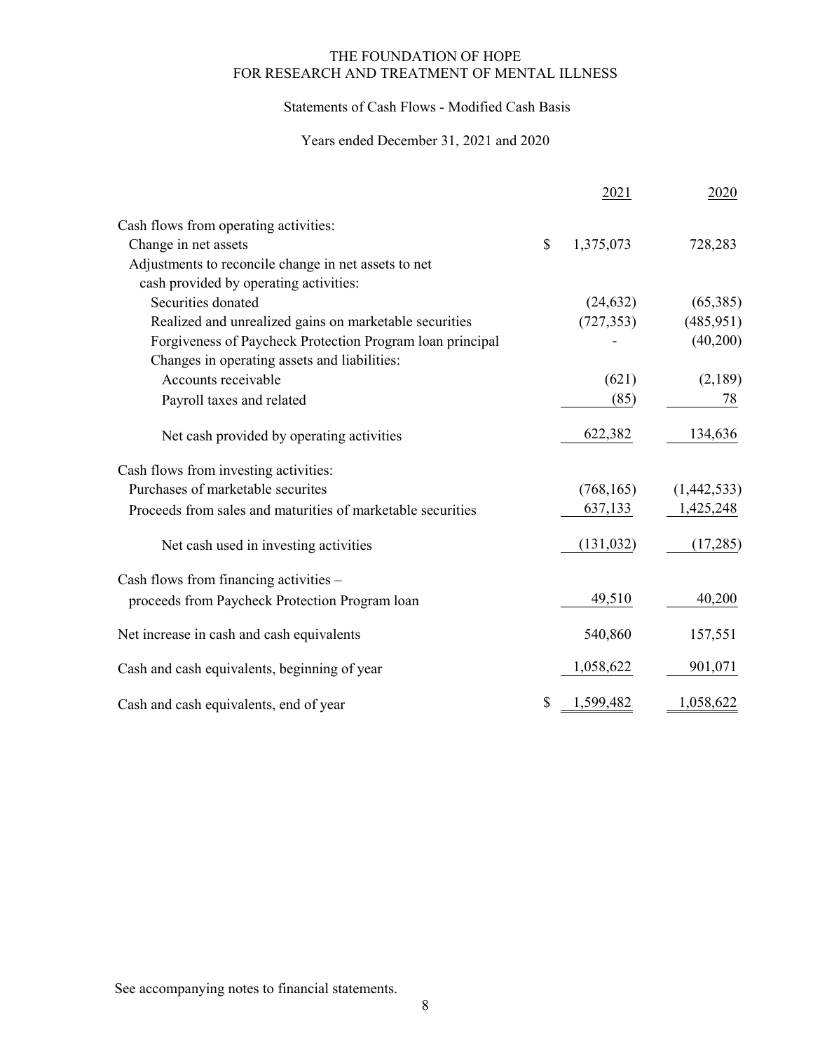## Statements of Cash Flows - Modified Cash Basis

# Years ended December 31, 2021 and 2020

|                                                             |              | 2021       | 2020        |
|-------------------------------------------------------------|--------------|------------|-------------|
| Cash flows from operating activities:                       |              |            |             |
| Change in net assets                                        | $\mathbb{S}$ | 1,375,073  | 728,283     |
| Adjustments to reconcile change in net assets to net        |              |            |             |
| cash provided by operating activities:                      |              |            |             |
| Securities donated                                          |              | (24, 632)  | (65,385)    |
| Realized and unrealized gains on marketable securities      |              | (727, 353) | (485, 951)  |
| Forgiveness of Paycheck Protection Program loan principal   |              |            | (40,200)    |
| Changes in operating assets and liabilities:                |              |            |             |
| Accounts receivable                                         |              | (621)      | (2,189)     |
| Payroll taxes and related                                   |              | (85)       | 78          |
| Net cash provided by operating activities                   |              | 622,382    | 134,636     |
| Cash flows from investing activities:                       |              |            |             |
| Purchases of marketable securites                           |              | (768, 165) | (1,442,533) |
| Proceeds from sales and maturities of marketable securities |              | 637,133    | 1,425,248   |
| Net cash used in investing activities                       |              | (131, 032) | (17, 285)   |
| Cash flows from financing activities -                      |              |            |             |
| proceeds from Paycheck Protection Program loan              |              | 49,510     | 40,200      |
| Net increase in cash and cash equivalents                   |              | 540,860    | 157,551     |
| Cash and cash equivalents, beginning of year                |              | 1,058,622  | 901,071     |
| Cash and cash equivalents, end of year                      | \$           | 1,599,482  | 1,058,622   |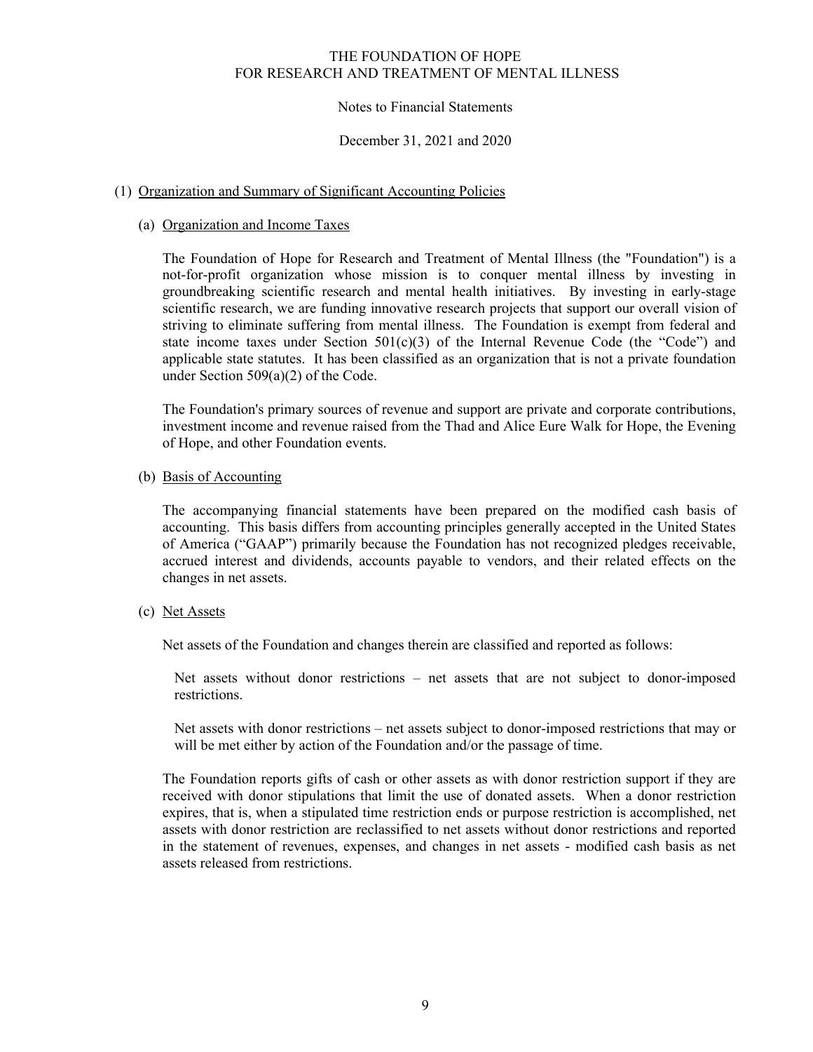## Notes to Financial Statements

### December 31, 2021 and 2020

## (1) Organization and Summary of Significant Accounting Policies

## (a) Organization and Income Taxes

The Foundation of Hope for Research and Treatment of Mental Illness (the "Foundation") is a not-for-profit organization whose mission is to conquer mental illness by investing in groundbreaking scientific research and mental health initiatives. By investing in early-stage scientific research, we are funding innovative research projects that support our overall vision of striving to eliminate suffering from mental illness. The Foundation is exempt from federal and state income taxes under Section  $501(c)(3)$  of the Internal Revenue Code (the "Code") and applicable state statutes. It has been classified as an organization that is not a private foundation under Section 509(a)(2) of the Code.

The Foundation's primary sources of revenue and support are private and corporate contributions, investment income and revenue raised from the Thad and Alice Eure Walk for Hope, the Evening of Hope, and other Foundation events.

## (b) Basis of Accounting

The accompanying financial statements have been prepared on the modified cash basis of accounting. This basis differs from accounting principles generally accepted in the United States of America ("GAAP") primarily because the Foundation has not recognized pledges receivable, accrued interest and dividends, accounts payable to vendors, and their related effects on the changes in net assets.

## (c) Net Assets

Net assets of the Foundation and changes therein are classified and reported as follows:

Net assets without donor restrictions – net assets that are not subject to donor-imposed restrictions.

Net assets with donor restrictions – net assets subject to donor-imposed restrictions that may or will be met either by action of the Foundation and/or the passage of time.

The Foundation reports gifts of cash or other assets as with donor restriction support if they are received with donor stipulations that limit the use of donated assets. When a donor restriction expires, that is, when a stipulated time restriction ends or purpose restriction is accomplished, net assets with donor restriction are reclassified to net assets without donor restrictions and reported in the statement of revenues, expenses, and changes in net assets - modified cash basis as net assets released from restrictions.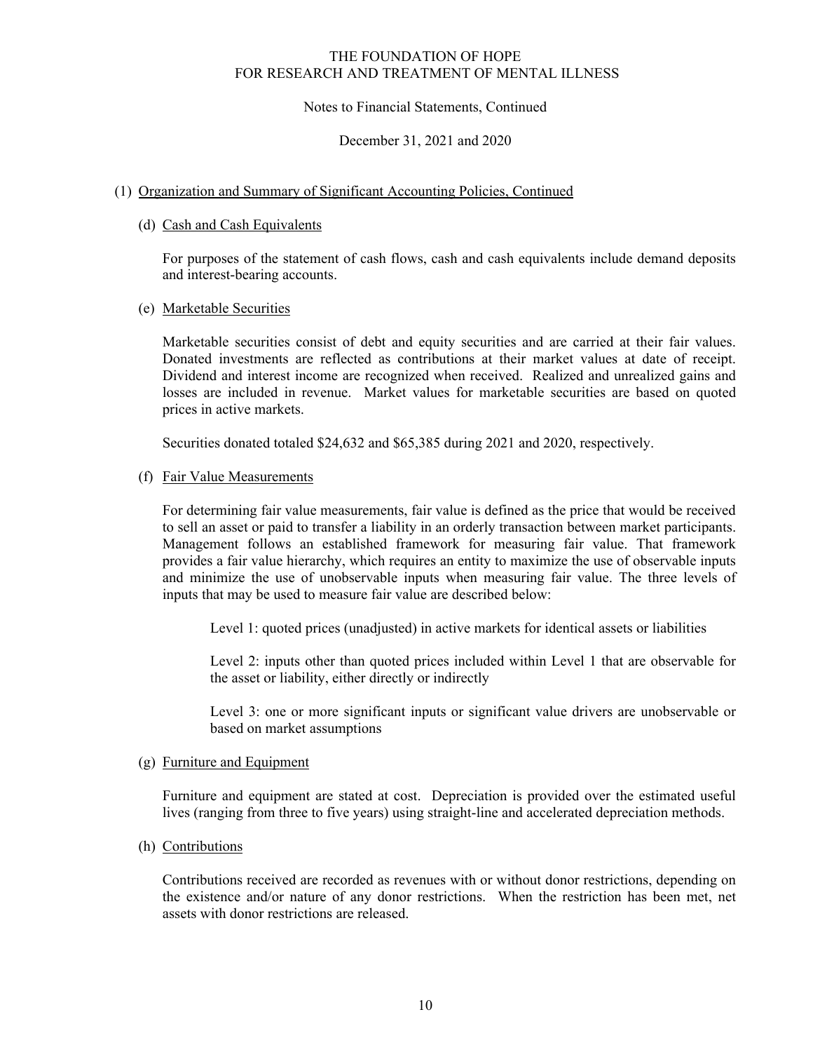## Notes to Financial Statements, Continued

### December 31, 2021 and 2020

## (1) Organization and Summary of Significant Accounting Policies, Continued

## (d) Cash and Cash Equivalents

For purposes of the statement of cash flows, cash and cash equivalents include demand deposits and interest-bearing accounts.

## (e) Marketable Securities

Marketable securities consist of debt and equity securities and are carried at their fair values. Donated investments are reflected as contributions at their market values at date of receipt. Dividend and interest income are recognized when received. Realized and unrealized gains and losses are included in revenue. Market values for marketable securities are based on quoted prices in active markets.

Securities donated totaled \$24,632 and \$65,385 during 2021 and 2020, respectively.

## (f) Fair Value Measurements

For determining fair value measurements, fair value is defined as the price that would be received to sell an asset or paid to transfer a liability in an orderly transaction between market participants. Management follows an established framework for measuring fair value. That framework provides a fair value hierarchy, which requires an entity to maximize the use of observable inputs and minimize the use of unobservable inputs when measuring fair value. The three levels of inputs that may be used to measure fair value are described below:

Level 1: quoted prices (unadjusted) in active markets for identical assets or liabilities

Level 2: inputs other than quoted prices included within Level 1 that are observable for the asset or liability, either directly or indirectly

Level 3: one or more significant inputs or significant value drivers are unobservable or based on market assumptions

#### (g) Furniture and Equipment

Furniture and equipment are stated at cost. Depreciation is provided over the estimated useful lives (ranging from three to five years) using straight-line and accelerated depreciation methods.

#### (h) Contributions

Contributions received are recorded as revenues with or without donor restrictions, depending on the existence and/or nature of any donor restrictions. When the restriction has been met, net assets with donor restrictions are released.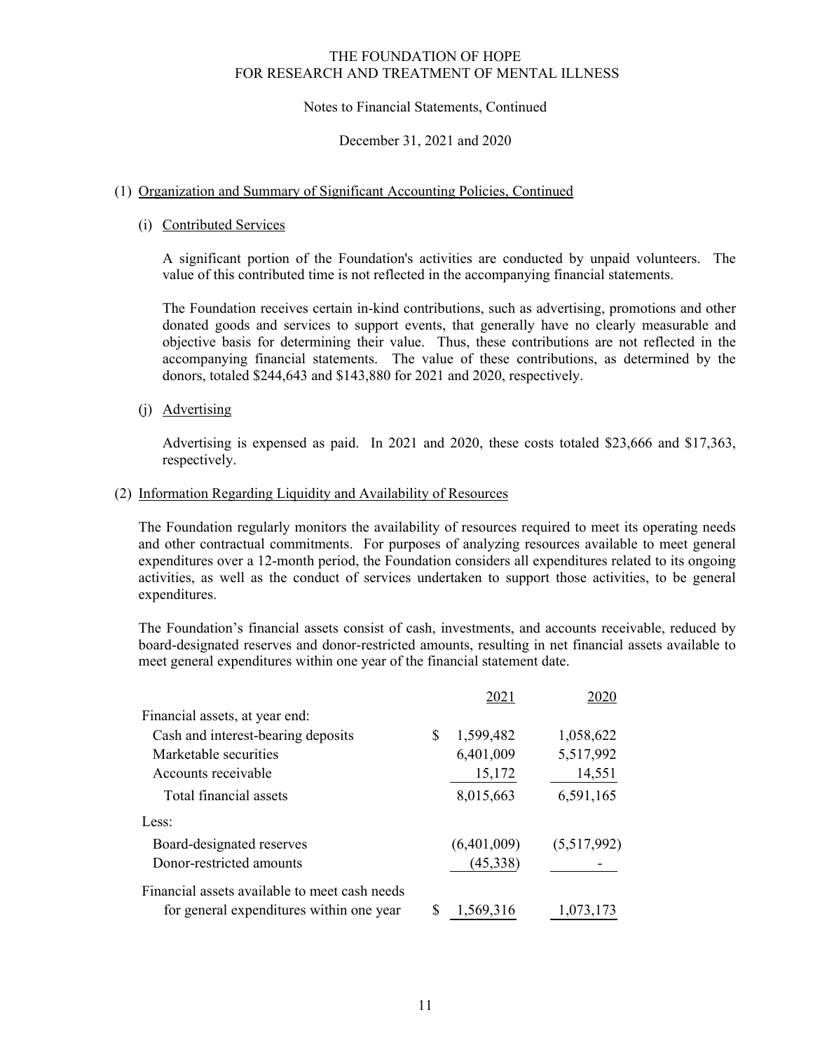## Notes to Financial Statements, Continued

### December 31, 2021 and 2020

## (1) Organization and Summary of Significant Accounting Policies, Continued

## (i) Contributed Services

A significant portion of the Foundation's activities are conducted by unpaid volunteers. The value of this contributed time is not reflected in the accompanying financial statements.

The Foundation receives certain in-kind contributions, such as advertising, promotions and other donated goods and services to support events, that generally have no clearly measurable and objective basis for determining their value. Thus, these contributions are not reflected in the accompanying financial statements. The value of these contributions, as determined by the donors, totaled \$244,643 and \$143,880 for 2021 and 2020, respectively.

(j) Advertising

Advertising is expensed as paid. In 2021 and 2020, these costs totaled \$23,666 and \$17,363, respectively.

#### (2) Information Regarding Liquidity and Availability of Resources

The Foundation regularly monitors the availability of resources required to meet its operating needs and other contractual commitments. For purposes of analyzing resources available to meet general expenditures over a 12-month period, the Foundation considers all expenditures related to its ongoing activities, as well as the conduct of services undertaken to support those activities, to be general expenditures.

The Foundation's financial assets consist of cash, investments, and accounts receivable, reduced by board-designated reserves and donor-restricted amounts, resulting in net financial assets available to meet general expenditures within one year of the financial statement date.

|                                               |   | 2021        | 2020        |
|-----------------------------------------------|---|-------------|-------------|
| Financial assets, at year end:                |   |             |             |
| Cash and interest-bearing deposits            | S | 1,599,482   | 1,058,622   |
| Marketable securities                         |   | 6,401,009   | 5,517,992   |
| Accounts receivable                           |   | 15,172      | 14,551      |
| Total financial assets                        |   | 8,015,663   | 6,591,165   |
| Less:                                         |   |             |             |
| Board-designated reserves                     |   | (6,401,009) | (5,517,992) |
| Donor-restricted amounts                      |   | (45,338)    |             |
| Financial assets available to meet cash needs |   |             |             |
| for general expenditures within one year      | S | 1,569,316   | 1,073,173   |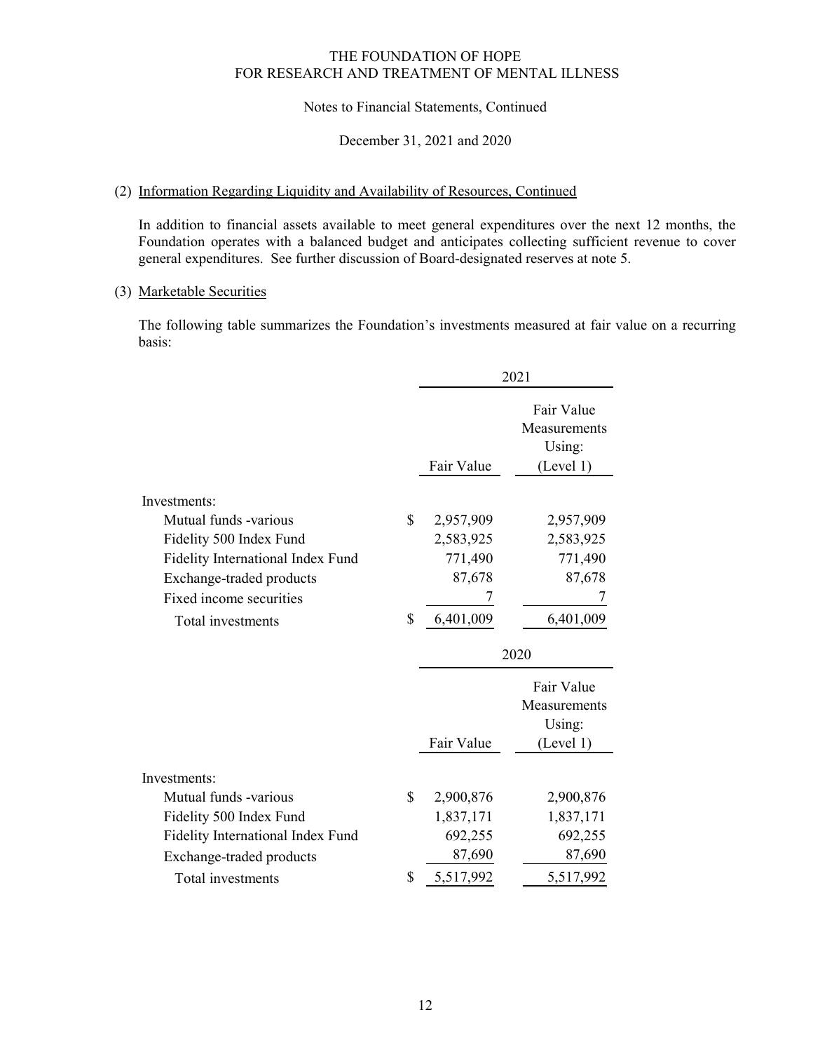## Notes to Financial Statements, Continued

#### December 31, 2021 and 2020

## (2) Information Regarding Liquidity and Availability of Resources, Continued

In addition to financial assets available to meet general expenditures over the next 12 months, the Foundation operates with a balanced budget and anticipates collecting sufficient revenue to cover general expenditures. See further discussion of Board-designated reserves at note 5.

## (3) Marketable Securities

The following table summarizes the Foundation's investments measured at fair value on a recurring basis:

|                                   |                 | 2021                                              |
|-----------------------------------|-----------------|---------------------------------------------------|
|                                   | Fair Value      | Fair Value<br>Measurements<br>Using:<br>(Level 1) |
| Investments:                      |                 |                                                   |
| Mutual funds -various             | \$<br>2,957,909 | 2,957,909                                         |
| Fidelity 500 Index Fund           | 2,583,925       | 2,583,925                                         |
| Fidelity International Index Fund | 771,490         | 771,490                                           |
| Exchange-traded products          | 87,678          | 87,678                                            |
| Fixed income securities           | 7               | 7                                                 |
| Total investments                 | \$<br>6,401,009 | 6,401,009                                         |
|                                   |                 |                                                   |
|                                   |                 | 2020                                              |
|                                   |                 | Fair Value<br>Measurements<br>Using:              |
|                                   | Fair Value      | (Level 1)                                         |
| Investments:                      |                 |                                                   |
| Mutual funds -various             | \$<br>2,900,876 | 2,900,876                                         |
| Fidelity 500 Index Fund           | 1,837,171       | 1,837,171                                         |
| Fidelity International Index Fund | 692,255         | 692,255                                           |
| Exchange-traded products          | 87,690          | 87,690                                            |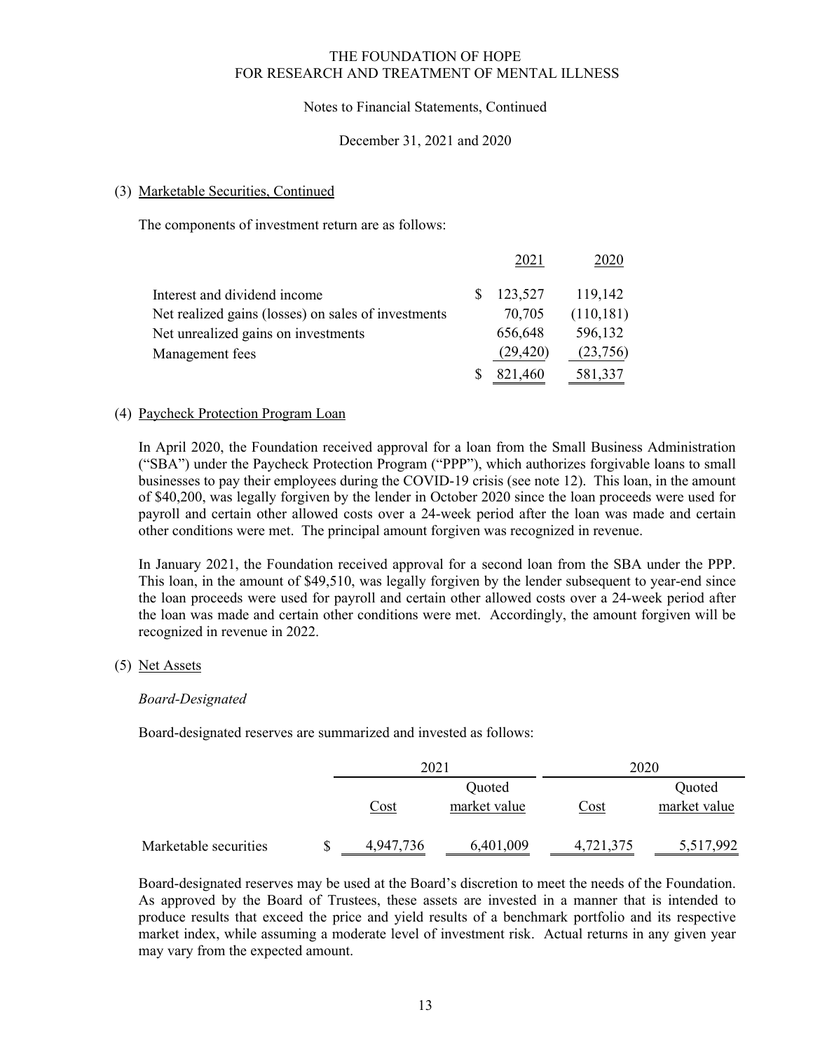## Notes to Financial Statements, Continued

### December 31, 2021 and 2020

## (3) Marketable Securities, Continued

The components of investment return are as follows:

|                                                     | 2021      | 2020       |
|-----------------------------------------------------|-----------|------------|
| Interest and dividend income                        | 123,527   | 119,142    |
| Net realized gains (losses) on sales of investments | 70,705    | (110, 181) |
| Net unrealized gains on investments                 | 656,648   | 596,132    |
| Management fees                                     | (29, 420) | (23,756)   |
|                                                     | 821,460   | 581,337    |

## (4) Paycheck Protection Program Loan

In April 2020, the Foundation received approval for a loan from the Small Business Administration ("SBA") under the Paycheck Protection Program ("PPP"), which authorizes forgivable loans to small businesses to pay their employees during the COVID-19 crisis (see note 12). This loan, in the amount of \$40,200, was legally forgiven by the lender in October 2020 since the loan proceeds were used for payroll and certain other allowed costs over a 24-week period after the loan was made and certain other conditions were met. The principal amount forgiven was recognized in revenue.

In January 2021, the Foundation received approval for a second loan from the SBA under the PPP. This loan, in the amount of \$49,510, was legally forgiven by the lender subsequent to year-end since the loan proceeds were used for payroll and certain other allowed costs over a 24-week period after the loan was made and certain other conditions were met. Accordingly, the amount forgiven will be recognized in revenue in 2022.

#### (5) Net Assets

#### *Board-Designated*

Board-designated reserves are summarized and invested as follows:

|                       |   | 2021      |                        |           | 2020                   |
|-----------------------|---|-----------|------------------------|-----------|------------------------|
|                       |   | Cost      | Quoted<br>market value | Cost      | Quoted<br>market value |
| Marketable securities | S | 4,947,736 | 6,401,009              | 4,721,375 | 5,517,992              |

Board-designated reserves may be used at the Board's discretion to meet the needs of the Foundation. As approved by the Board of Trustees, these assets are invested in a manner that is intended to produce results that exceed the price and yield results of a benchmark portfolio and its respective market index, while assuming a moderate level of investment risk. Actual returns in any given year may vary from the expected amount.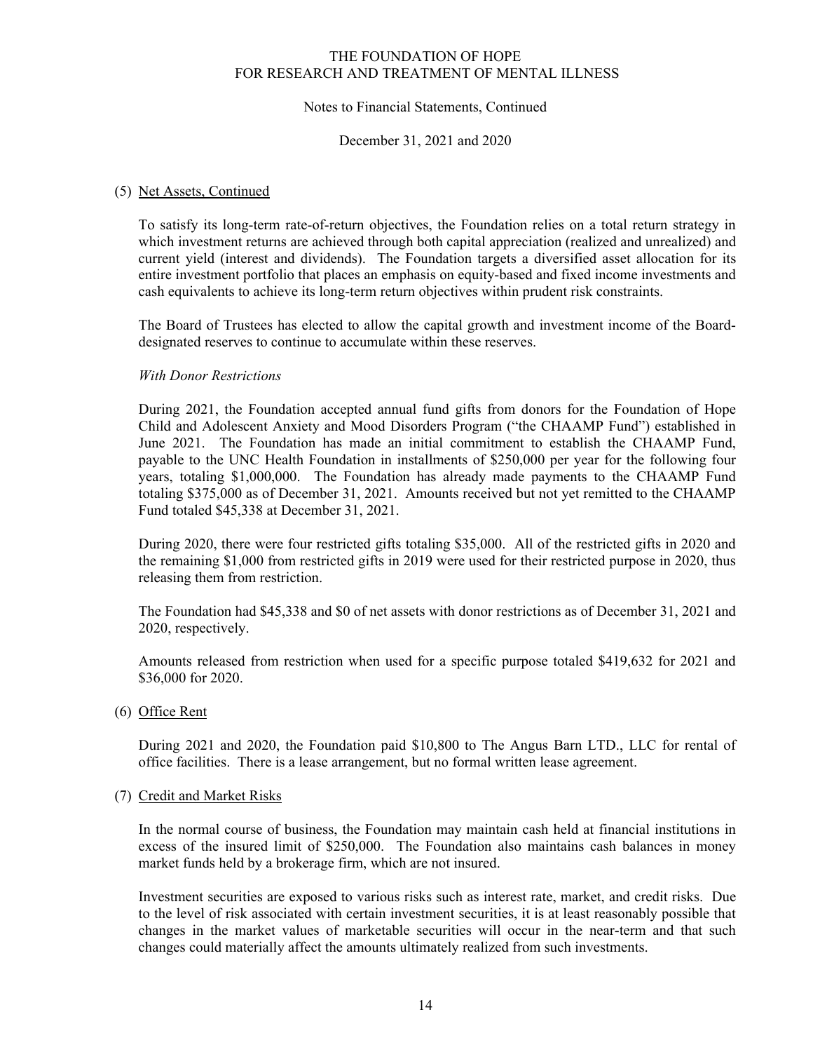## Notes to Financial Statements, Continued

December 31, 2021 and 2020

## (5) Net Assets, Continued

To satisfy its long-term rate-of-return objectives, the Foundation relies on a total return strategy in which investment returns are achieved through both capital appreciation (realized and unrealized) and current yield (interest and dividends). The Foundation targets a diversified asset allocation for its entire investment portfolio that places an emphasis on equity-based and fixed income investments and cash equivalents to achieve its long-term return objectives within prudent risk constraints.

The Board of Trustees has elected to allow the capital growth and investment income of the Boarddesignated reserves to continue to accumulate within these reserves.

## *With Donor Restrictions*

During 2021, the Foundation accepted annual fund gifts from donors for the Foundation of Hope Child and Adolescent Anxiety and Mood Disorders Program ("the CHAAMP Fund") established in June 2021. The Foundation has made an initial commitment to establish the CHAAMP Fund, payable to the UNC Health Foundation in installments of \$250,000 per year for the following four years, totaling \$1,000,000. The Foundation has already made payments to the CHAAMP Fund totaling \$375,000 as of December 31, 2021. Amounts received but not yet remitted to the CHAAMP Fund totaled \$45,338 at December 31, 2021.

During 2020, there were four restricted gifts totaling \$35,000. All of the restricted gifts in 2020 and the remaining \$1,000 from restricted gifts in 2019 were used for their restricted purpose in 2020, thus releasing them from restriction.

The Foundation had \$45,338 and \$0 of net assets with donor restrictions as of December 31, 2021 and 2020, respectively.

Amounts released from restriction when used for a specific purpose totaled \$419,632 for 2021 and \$36,000 for 2020.

(6) Office Rent

During 2021 and 2020, the Foundation paid \$10,800 to The Angus Barn LTD., LLC for rental of office facilities. There is a lease arrangement, but no formal written lease agreement.

#### (7) Credit and Market Risks

In the normal course of business, the Foundation may maintain cash held at financial institutions in excess of the insured limit of \$250,000. The Foundation also maintains cash balances in money market funds held by a brokerage firm, which are not insured.

Investment securities are exposed to various risks such as interest rate, market, and credit risks. Due to the level of risk associated with certain investment securities, it is at least reasonably possible that changes in the market values of marketable securities will occur in the near-term and that such changes could materially affect the amounts ultimately realized from such investments.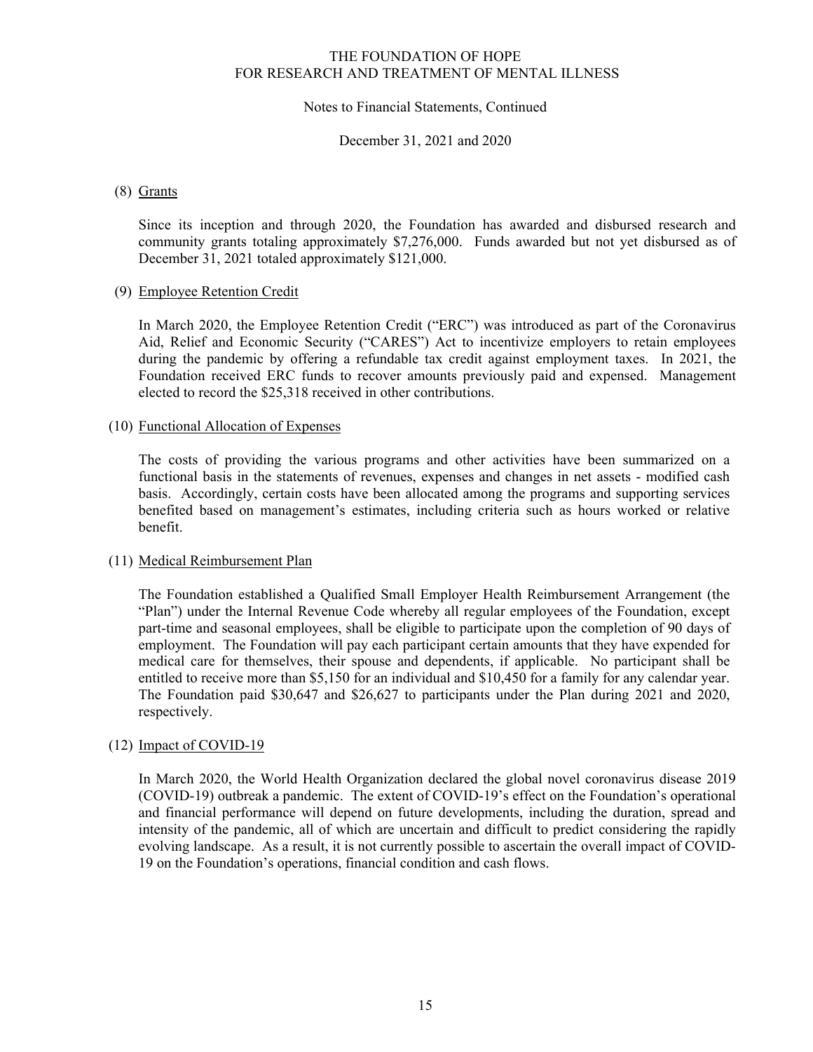## Notes to Financial Statements, Continued

December 31, 2021 and 2020

### (8) Grants

Since its inception and through 2020, the Foundation has awarded and disbursed research and community grants totaling approximately \$7,276,000. Funds awarded but not yet disbursed as of December 31, 2021 totaled approximately \$121,000.

## (9) Employee Retention Credit

In March 2020, the Employee Retention Credit ("ERC") was introduced as part of the Coronavirus Aid, Relief and Economic Security ("CARES") Act to incentivize employers to retain employees during the pandemic by offering a refundable tax credit against employment taxes. In 2021, the Foundation received ERC funds to recover amounts previously paid and expensed. Management elected to record the \$25,318 received in other contributions.

#### (10) Functional Allocation of Expenses

The costs of providing the various programs and other activities have been summarized on a functional basis in the statements of revenues, expenses and changes in net assets - modified cash basis. Accordingly, certain costs have been allocated among the programs and supporting services benefited based on management's estimates, including criteria such as hours worked or relative benefit.

#### (11) Medical Reimbursement Plan

The Foundation established a Qualified Small Employer Health Reimbursement Arrangement (the "Plan") under the Internal Revenue Code whereby all regular employees of the Foundation, except part-time and seasonal employees, shall be eligible to participate upon the completion of 90 days of employment. The Foundation will pay each participant certain amounts that they have expended for medical care for themselves, their spouse and dependents, if applicable. No participant shall be entitled to receive more than \$5,150 for an individual and \$10,450 for a family for any calendar year. The Foundation paid \$30,647 and \$26,627 to participants under the Plan during 2021 and 2020, respectively.

## (12) Impact of COVID-19

In March 2020, the World Health Organization declared the global novel coronavirus disease 2019 (COVID-19) outbreak a pandemic. The extent of COVID-19's effect on the Foundation's operational and financial performance will depend on future developments, including the duration, spread and intensity of the pandemic, all of which are uncertain and difficult to predict considering the rapidly evolving landscape. As a result, it is not currently possible to ascertain the overall impact of COVID-19 on the Foundation's operations, financial condition and cash flows.